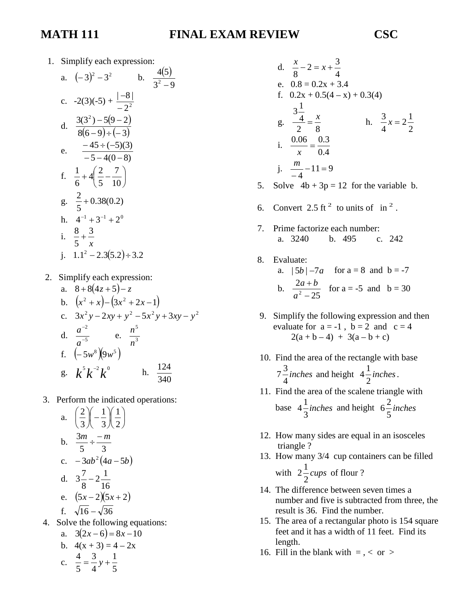## **MATH 111 FINAL EXAM REVIEW CSC**

1. Simplify each expression:

a. 
$$
(-3)^2 - 3^2
$$
 b.  $\frac{4(5)}{3^2 - 9}$   
\nc.  $-2(3)(-5) + \frac{|-8|}{-2^2}$   
\nd.  $\frac{3(3^2) - 5(9 - 2)}{8(6 - 9) \div (-3)}$   
\ne.  $\frac{-45 \div (-5)(3)}{-5 - 4(0 - 8)}$   
\nf.  $\frac{1}{6} + 4(\frac{2}{5} - \frac{7}{10})$   
\ng.  $\frac{2}{5} + 0.38(0.2)$   
\nh.  $4^{-1} + 3^{-1} + 2^0$   
\ni.  $\frac{8}{5} + \frac{3}{x}$   
\nj.  $1.1^2 - 2.3(5.2) \div 3.2$ 

2. Simplify each expression:

a. 
$$
8+8(4z+5)-z
$$
  
\nb.  $(x^2+x)-(3x^2+2x-1)$   
\nc.  $3x^2y-2xy+y^2-5x^2y+3xy-y^2$   
\nd.  $\frac{a^{-2}}{a^{-5}}$  e.  $\frac{n^5}{n^3}$   
\nf.  $(-5w^8)(9w^5)$   
\ng.  $k^5k^{-2}k^0$  h.  $\frac{124}{340}$ 

3. Perform the indicated operations:

a. 
$$
\left(\frac{2}{3}\right)\left(-\frac{1}{3}\right)\left(\frac{1}{2}\right)
$$
  
\nb.  $\frac{3m}{5} \div \frac{-m}{3}$   
\nc.  $-3ab^2(4a-5b)$   
\nd.  $3\frac{7}{8} - 2\frac{1}{16}$   
\ne.  $(5x-2)(5x+2)$   
\nf.  $\sqrt{16} - \sqrt{36}$   
\n4. Solve the following equations:  
\na.  $3(2x-6) = 8x-10$   
\nb.  $4(x+3) = 4-2x$   
\n4.  $3 \quad 1$ 

d. 
$$
\frac{x}{8} - 2 = x + \frac{3}{4}
$$
  
\ne. 0.8 = 0.2x + 3.4  
\nf. 0.2x + 0.5(4 - x) + 0.3(4)  
\n $\frac{3\frac{1}{4}}{2} = \frac{x}{8}$  h.  $\frac{3}{4}x = 2\frac{1}{2}$   
\ni.  $\frac{0.06}{x} = \frac{0.3}{0.4}$   
\nj.  $\frac{m}{-4} - 11 = 9$ 

- 5. Solve  $4b + 3p = 12$  for the variable b.
- 6. Convert 2.5 ft<sup>2</sup> to units of in<sup>2</sup>.

*x*

- 7. Prime factorize each number: a. 3240 b. 495 c. 242
- 8. Evaluate: a.  $|5b| - 7a$  for  $a = 8$  and  $b = -7$ b. 25 2  $2$   $-$ + *a*  $\frac{a+b}{b}$  for a = -5 and b = 30
- 9. Simplify the following expression and then evaluate for  $a = -1$ ,  $b = 2$  and  $c = 4$  $2(a + b - 4) + 3(a - b + c)$
- 10. Find the area of the rectangle with base *inches* 4  $7\frac{3}{4}$  *inches* and height  $4\frac{1}{4}$  *inches* 2  $4\frac{1}{2}$  inches.
- 11. Find the area of the scalene triangle with base  $4\frac{1}{2}$ *inches* 3  $4\frac{1}{2}$  *inches* and height  $6\frac{2}{2}$  *inches* 5  $6\frac{2}{7}$
- 12. How many sides are equal in an isosceles triangle ?
- 13. How many 3/4 cup containers can be filled

with  $2\frac{1}{2}cups$ 2  $2\frac{1}{2}cups$  of flour ?

- 14. The difference between seven times a number and five is subtracted from three, the result is 36. Find the number.
- 15. The area of a rectangular photo is 154 square feet and it has a width of 11 feet. Find its length.
- 16. Fill in the blank with  $=$  ,  $<$  or  $>$

c. 5 1 4 3 5  $\frac{4}{7} = \frac{3}{4}y +$